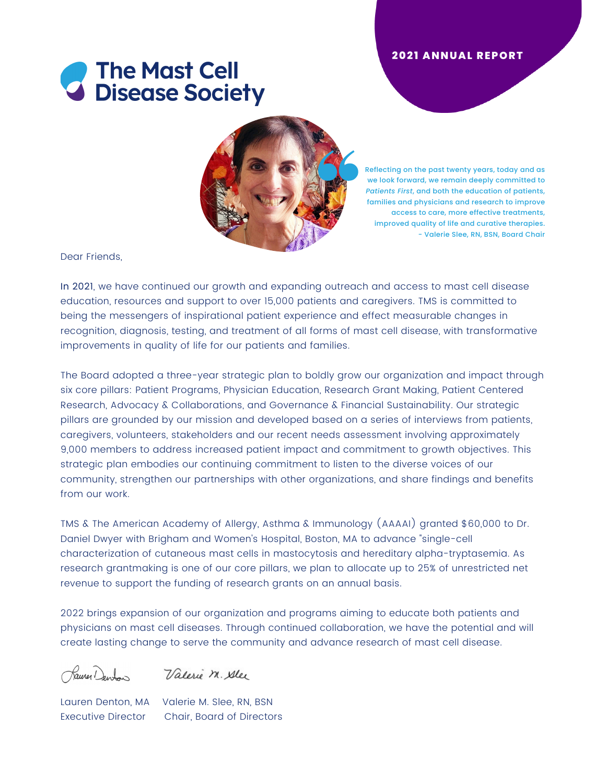# **8** The Mast Cell<br>**8** Disease Society



Reflecting on the past twenty years, today and as we look forward, we remain deeply committed to *Patients First*, and both the education of patients, families and physicians and research to improve access to care, more effective treatments, improved quality of life and curative therapies. - Valerie Slee, RN, BSN, Board Chair

Dear Friends,

In 2021, we have continued our growth and expanding outreach and access to mast cell disease education, resources and support to over 15,000 patients and caregivers. TMS is committed to being the messengers of inspirational patient experience and effect measurable changes in recognition, diagnosis, testing, and treatment of all forms of mast cell disease, with transformative improvements in quality of life for our patients and families.

The Board adopted a three-year strategic plan to boldly grow our organization and impact through six core pillars: Patient Programs, Physician Education, Research Grant Making, Patient Centered Research, Advocacy & Collaborations, and Governance & Financial Sustainability. Our strategic pillars are grounded by our mission and developed based on a series of interviews from patients, caregivers, volunteers, stakeholders and our recent needs assessment involving approximately 9,000 members to address increased patient impact and commitment to growth objectives. This strategic plan embodies our continuing commitment to listen to the diverse voices of our community, strengthen our partnerships with other organizations, and share findings and benefits from our work.

TMS & The American Academy of Allergy, Asthma & Immunology (AAAAI) granted \$60,000 to Dr. Daniel Dwyer with Brigham and Women's Hospital, Boston, MA to advance "single-cell characterization of cutaneous mast cells in mastocytosis and hereditary alpha-tryptasemia. As research grantmaking is one of our core pillars, we plan to allocate up to 25% of unrestricted net revenue to support the funding of research grants on an annual basis.

2022 brings expansion of our organization and programs aiming to educate both patients and physicians on mast cell diseases. Through continued collaboration, we have the potential and will create lasting change to serve the community and advance research of mast cell disease.

Kauser Denton

Valerie M. Alex

Lauren Denton, MA Valerie M. Slee, RN, BSN Executive Director Chair, Board of Directors